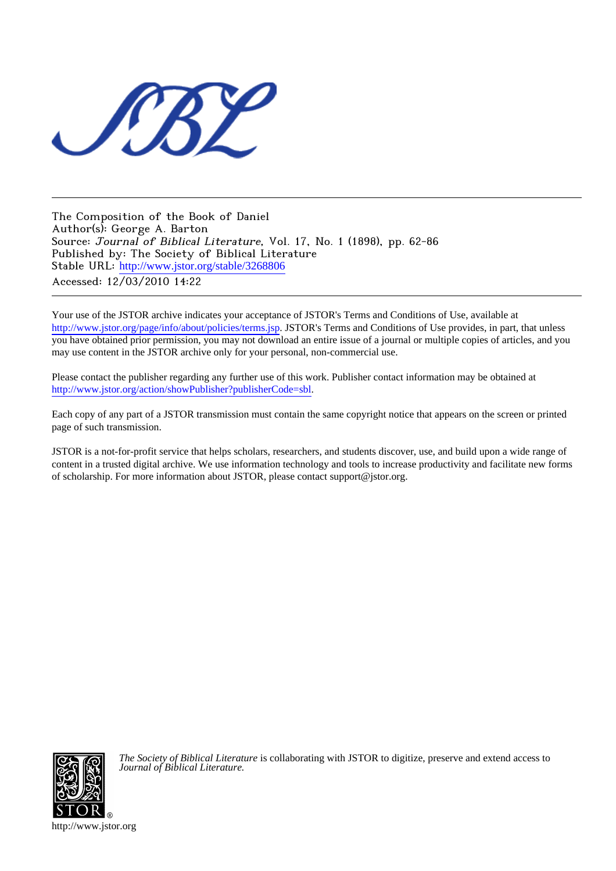

The Composition of the Book of Daniel Author(s): George A. Barton Source: Journal of Biblical Literature, Vol. 17, No. 1 (1898), pp. 62-86 Published by: The Society of Biblical Literature Stable URL: [http://www.jstor.org/stable/3268806](http://www.jstor.org/stable/3268806?origin=JSTOR-pdf) Accessed: 12/03/2010 14:22

Your use of the JSTOR archive indicates your acceptance of JSTOR's Terms and Conditions of Use, available at <http://www.jstor.org/page/info/about/policies/terms.jsp>. JSTOR's Terms and Conditions of Use provides, in part, that unless you have obtained prior permission, you may not download an entire issue of a journal or multiple copies of articles, and you may use content in the JSTOR archive only for your personal, non-commercial use.

Please contact the publisher regarding any further use of this work. Publisher contact information may be obtained at [http://www.jstor.org/action/showPublisher?publisherCode=sbl.](http://www.jstor.org/action/showPublisher?publisherCode=sbl)

Each copy of any part of a JSTOR transmission must contain the same copyright notice that appears on the screen or printed page of such transmission.

JSTOR is a not-for-profit service that helps scholars, researchers, and students discover, use, and build upon a wide range of content in a trusted digital archive. We use information technology and tools to increase productivity and facilitate new forms of scholarship. For more information about JSTOR, please contact support@jstor.org.



*The Society of Biblical Literature* is collaborating with JSTOR to digitize, preserve and extend access to *Journal of Biblical Literature.*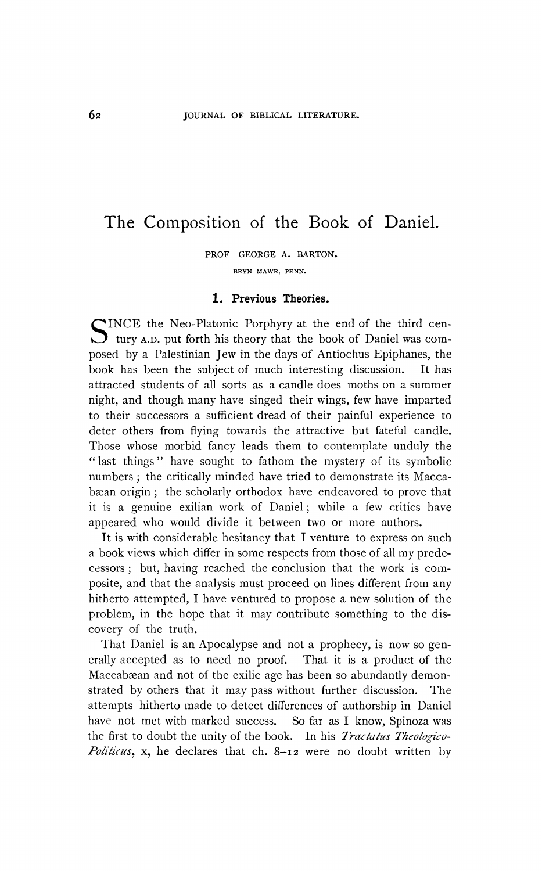# **The Composition of the Book of Daniel.**

**PROF GEORGE A. BARTON. BRYN MAWR, PENN.** 

### **1. Previous Theories.**

**SINCE the Neo-Platonic Porphyry at the end of the third century A.D. put forth his theory that the book of Daniel was composed by a Palestinian Jew in the days of Antiochus Epiphanes, the book has been the subject of much interesting discussion. It has attracted students of all sorts as a candle does moths on a summer night, and though many have singed their wings, few have imparted to their successors a sufficient dread of their painful experience to deter others from flying towards the attractive but fateful candle. Those whose morbid fancy leads them to contemplate unduly the "last things" have sought to fathom the mystery of its symbolic numbers; the critically minded have tried to demonstrate its Maccabaean origin; the scholarly orthodox have endeavored to prove that it is a genuine exilian work of Daniel; while a few critics have appeared who would divide it between two or more authors.** 

**It is with considerable hesitancy that I venture to express on such a book views which differ in some respects from those of all my predecessors; but, having reached the conclusion that the work is composite, and that the analysis must proceed on lines different from any hitherto attempted, I have ventured to propose a new solution of the problem, in the hope that it may contribute something to the discovery of the truth.** 

That Daniel is an Apocalypse and not a prophecy, is now so gen-<br>ally accepted as to need no proof. That it is a product of the erally accepted as to need no proof. Maccabæan and not of the exilic age has been so abundantly demon**strated by others that it may pass without further discussion. The attempts hitherto made to detect differences of authorship in Daniel**  have not met with marked success. the first to doubt the unity of the book. In his *Tractatus Theologico-*Politicus, x, he declares that ch. 8-12 were no doubt written by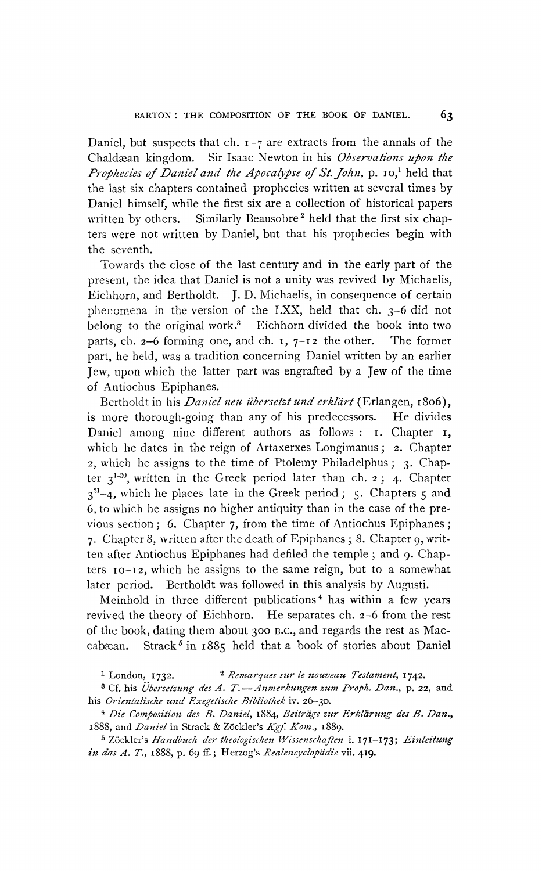**Daniel, but suspects that ch. I-7 are extracts from the annals of the**  Chaldæan kingdom. Sir Isaac Newton in his Observations upon the Prophecies of Daniel and the Apocalypse of St. John, p. 10,<sup>1</sup> held that **the last six chapters contained prophecies written at several times by Daniel himself, while the first six are a collection of historical papers**  written by others. Similarly Beausobre<sup>2</sup> held that the first six chap**ters were not written by Daniel, but that his prophecies begin with the seventh.** 

**Towards the close of the last century and in the early part of the present, the idea that Daniel is not a unity was revived by Michaelis, Eichhorn, and Bertholdt. J. D. Michaelis, in consequence of certain phenomena in the version of the LXX, held that ch. 3-6 did not**  Eichhorn divided the book into two d ch.  $1, 7-12$  the other. The former parts, ch.  $2-6$  forming one, and ch.  $1, 7-12$  the other. **part, he held, was a tradition concerning Daniel written by an earlier Jew, upon which the latter part was engrafted by a Jew of the time of Antiochus Epiphanes.** 

Bertholdt in his *Daniel neu übersetzt und erklärt* (Erlangen, 1806), more thorough-going than any of his predecessors. He divides is more thorough-going than any of his predecessors. Daniel among nine different authors as follows : **1.** Chapter **1**, **which he dates in the reign of Artaxerxes Longimanus; 2. Chapter 2, which he assigns to the time of Ptolemy Philadelphus; 3. Chapter 3'30, written in the Greek period later than ch. 2; 4. Chapter 3?'-4, which he places late in the Greek period; 5. Chapters 5 and 6, to which he assigns no higher antiquity than in the case of the previous section; 6. Chapter 7, from the time of Antiochus Epiphanes; 7. Chapter 8, written after the death of Epiphanes; 8. Chapter 9, written after Antiochus Epiphanes had defiled the temple; and 9. Chapters 10-12, which he assigns to the same reign, but to a somewhat later period. Bertholdt was followed in this analysis by Augusti.** 

**Meinhold in three different publications4 has within a few years revived the theory of Eichhorn. He separates ch. 2-6 from the rest**  of the book, dating them about 300 B.C., and regards the rest as Mac-<br>cabæan. Strack<sup>5</sup> in 1885 held that a book of stories about Daniel Strack<sup>5</sup> in  $1885$  held that a book of stories about Daniel

**1 London, 1732. <sup>2</sup>Remarques str le nouveau Testament, 1742.** 

**3 Cf. his Uberselzung des A. T.-Anmerkungen zum Proph. Dan., p. 22, and his Orientalische untd Exegetische Bibliothek iv. 26-30.** 

**<sup>4</sup>Die Composition des B. Daniel, 1884, Beitrige zur Erkirung des B. Dan., 1888, and Daniel in Strack & Zockler's KgJ: Kom., i889.** 

**5 Zockler's fandbucA der theologischen4 Wissenschaften i. I7I-I73; Einleitung**  in das A. T., 1888, p. 69 ff.; Herzog's Realencyclopädie vii. 419.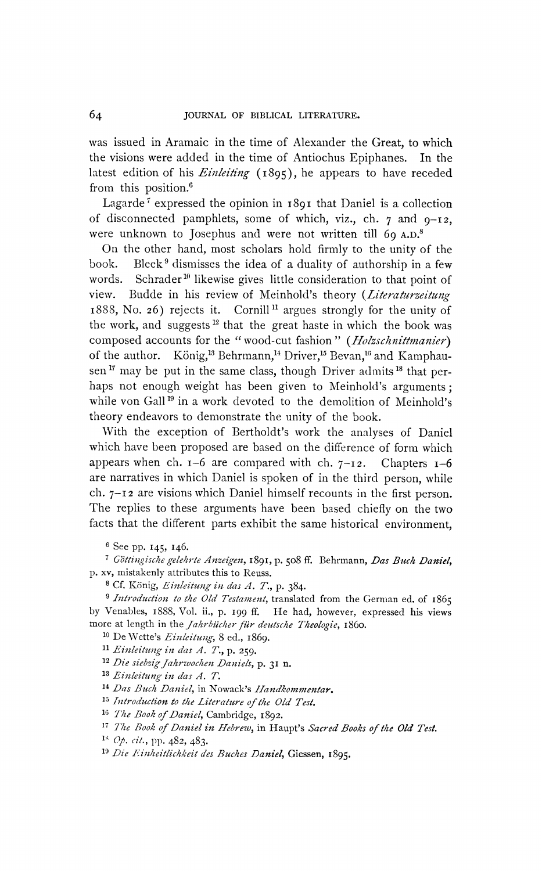**was issued in Aramaic in the time of Alexander the Great, to which the visions were added in the time of Antiochus Epiphanes. In the latest edition of his Einleiting (1895), he appears to have receded from this position.6** 

Lagarde<sup>7</sup> expressed the opinion in 1891 that Daniel is a collection **of disconnected pamphlets, some of which, viz., ch. 7 and 9-12,**  were unknown to Josephus and were not written till 69 A.D.<sup>8</sup>

On the other hand, most scholars hold firmly to the unity of the book. Bleek<sup>9</sup> dismisses the idea of a duality of authorship in a few Bleek<sup>9</sup> dismisses the idea of a duality of authorship in a few words. Schrader<sup>10</sup> likewise gives little consideration to that point of view. Budde in his review of Meinhold's theory (*Literaturzeitung* **I888, No. 26) rejects it. Cornill" argues strongly for the unity of the work, and suggests 12 that the great haste in which the book was**  composed accounts for the "wood-cut fashion" (*Holzschnittmanier*) of the author. König,<sup>13</sup> Behrmann,<sup>14</sup> Driver,<sup>15</sup> Bevan,<sup>16</sup> and Kamphau- $\sin^{17}$  may be put in the same class, though Driver admits<sup>18</sup> that per**haps not enough weight has been given to Meinhold's arguments; while von Gall'9 in a work devoted to the demolition of Meinhold's theory endeavors to demonstrate the unity of the book.** 

**With the exception of Bertholdt's work the analyses of Daniel which have been proposed are based on the difference of form which appears when ch. I-6 are compared with ch. 7-12. Chapters i-6 are narratives in which Daniel is spoken of in the third person, while ch. 7-I2 are visions which Daniel himself recounts in the first person. The replies to these arguments have been based chiefly on the two facts that the different parts exhibit the same historical environment,** 

**6 See pp. 145, 146.** 

**7 Gottingische gelehrte Anzeigen, 1891, p. 508 ff. Behrmann, Das Buck Daniel, p. xv, mistakenly attributes this to Reuss.** 

**8 Cf. K6nig, Einleitung in das A. T., p. 384.** 

**9 Introduction to the Old Testament, translated from the German ed. of <sup>1865</sup> by Venables, 1888, Vol. ii., p. I99 ff. He had, however, expressed his views more at length in the Jahrbiicher fir deutsche Theologie, i860.** 

<sup>10</sup> De Wette's *Einleitung*, 8 ed., 1869.

**1 Einleittung in das A. T., p. 259.** 

<sup>12</sup> Die siebzig Jahrwochen Daniels, p. 31 n.

**<sup>13</sup>Einleitung in das A. T.** 

<sup>14</sup> Das Buch Daniel, in Nowack's Handkommentar.

**15 Introduction to the Literature of the Old Test.** 

<sup>16</sup> *The Book of Daniel*, Cambridge, 1892.

**17 7'he Book of Daniel in Hebrezu, in Haupt's Sacred Books of the Old Test.** 

**1' Op. cit., pp. 482, 483.** 

**19 Die Finheitlichkeit des Buches Daniel, Giessen, 1895.**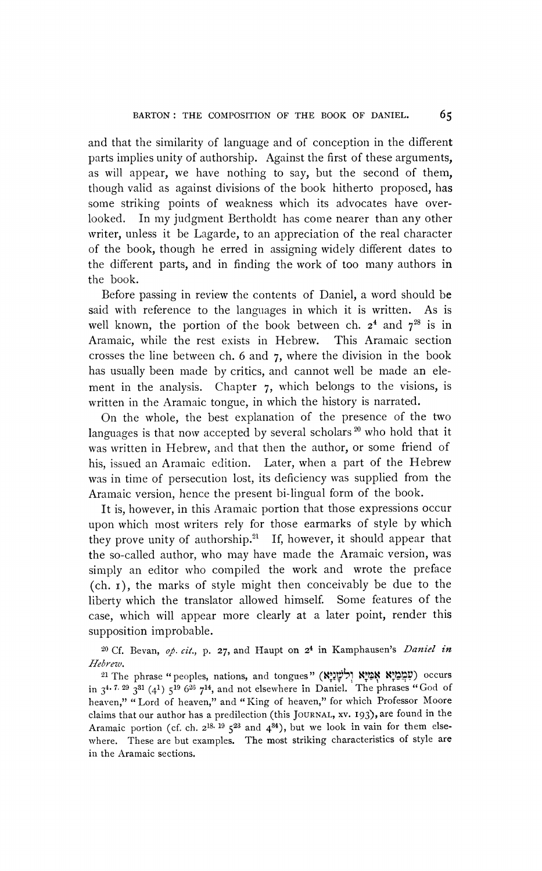**and that the similarity of language and of conception in the different parts implies unity of authorship. Against the first of these arguments, as will appear, we have nothing to say, but the second of them, though valid as against divisions of the book hitherto proposed, has some striking points of weakness which its advocates have overlooked. In my judgment Bertholdt has come nearer than any other writer, unless it be Lagarde, to an appreciation of the real character of the book, though he erred in assigning widely different dates to the different parts, and in finding the work of too many authors in the book.** 

**Before passing in review the contents of Daniel, a word should be said with reference to the languages in which it is written. As is well known, the portion of the book between ch.**  $2^4$  **and**  $7^{28}$  **is in Aramaic, while the rest exists in Hebrew. This Aramaic section** Aramaic, while the rest exists in Hebrew. **crosses the line between ch. 6 and 7, where the division in the book has usually been made by critics, and cannot well be made an element in the analysis. Chapter 7, which belongs to the visions, is written in the Aramaic tongue, in which the history is narrated.** 

**On the whole, the best explanation of the presence of the two languages is that now accepted by several scholars 20 who hold that it was written in Hebrew, and that then the author, or some friend of his, issued an Aramaic edition. Later, when a part of the Hebrew was in time of persecution lost, its deficiency was supplied from the Aramaic version, hence the present bi-lingual form of the book.** 

**It is, however, in this Aramaic portion that those expressions occur upon which most writers rely for those earmarks of style by which they prove unity of authorship.21 If, however, it should appear that the so-called author, who may have made the Aramaic version, was simply an editor who compiled the work and wrote the preface (ch. i), the marks of style might then conceivably be due to the liberty which the translator allowed himself. Some features of the case, which will appear more clearly at a later point, render this supposition improbable.** 

**20 Cf. Bevan, op. cit., p. 27, and Haupt on 24 in Kamphausen's Daniel in Hebsrew.** 

**21 The phrase "peoples, nations, and tongues" (Kt=' 1" Kh. }I) occurs**  in  $3^{4.7.29}$   $3^{31}$   $(4^1)$   $5^{19}$   $6^{26}$   $7^{14}$ , and not elsewhere in Daniel. The phrases "God of **heaven," "Lord of heaven," and "King of heaven," for which Professor Moore claims that our author has a predilection (this JOURNAL, xv. I93), are found in the**  Aramaic portion (cf. ch. 2<sup>18. 19</sup> 5<sup>23</sup> and 4<sup>34</sup>), but we look in vain for them else**where. These are but examples. The most striking characteristics of style are in the Aramaic sections.**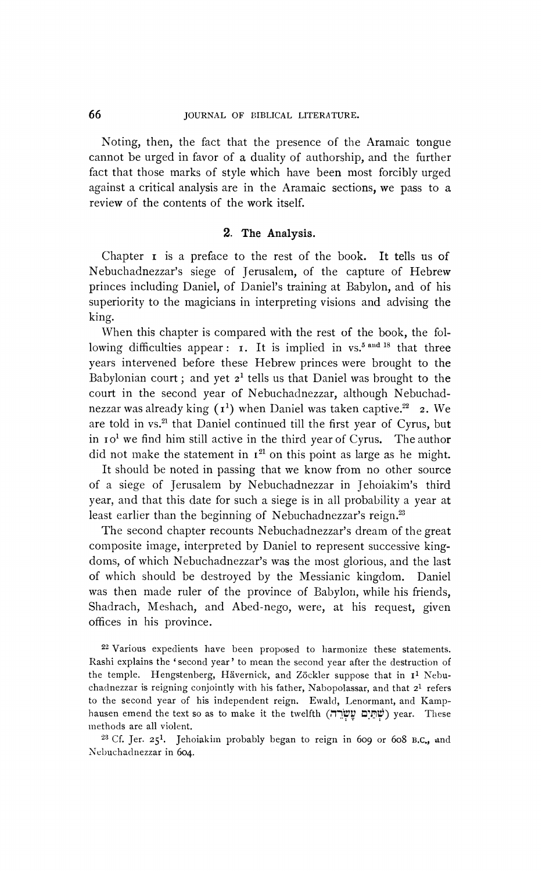**Noting, then, the fact that the presence of the Aramaic tongue cannot be urged in favor of a duality of authorship, and the further fact that those marks of style which have been most forcibly urged against a critical analysis are in the Aramaic sections, we pass to a review of the contents of the work itself.** 

## **2. The Analysis.**

**Chapter i is a preface to the rest of the book. It tells us of Nebuchadnezzar's siege of Jerusalem, of the capture of Hebrew princes including Daniel, of Daniel's training at Babylon, and of his superiority to the magicians in interpreting visions and advising the king.** 

**When this chapter is compared with the rest of the book, the following difficulties appear: i. It is implied in vs.5and 8 that three years intervened before these Hebrew princes were brought to the Babylonian court; and yet 21 tells us that Daniel was brought to the court in the second year of Nebuchadnezzar, although Nebuchad**nezzar was already king  $(\mathbf{I}^1)$  when Daniel was taken captive.<sup>22</sup> **2.** We **are told in vs.21 that Daniel continued till the first year of Cyrus, but in iol we find him still active in the third year of Cyrus. The author did not make the statement in i21 on this point as large as he might.** 

**It should be noted in passing that we know from no other source of a siege of Jerusalem by Nebuchadnezzar in Jehoiakim's third year, and that this date for such a siege is in all probability a year at least earlier than the beginning of Nebuchadnezzar's reign.23** 

**The second chapter recounts Nebuchadnezzar's dream of the great composite image, interpreted by Daniel to represent successive kingdoms, of which Nebuchadnezzar's was the most glorious, and the last of which should be destroyed by the Messianic kingdom. Daniel was then made ruler of the province of Babylon, while his friends, Shadrach, Meshach, and Abed-nego, were, at his request, given offices in his province.** 

**22 Various expedients have been proposed to harmonize these statements. Rashi explains the 'second year' to mean the second year after the destruction of**  the temple. Hengstenberg, Hävernick, and Zöckler suppose that in  $I^1$  Nebu**chadnezzar is reigning conjointly with his father, Nabopolassar, and that 21 refers to the second year of his independent reign. Ewald, Lenormant, and Kamp**hausen emend the text so as to make it the twelfth (שְׁתַּיָם שָׁשָׂרָה) year. These **methods are all violent.** 

**<sup>23</sup>Cf. Jer. 251. Jehoiakim probably began to reign in 609 or 608 B.c., and Nebuchadnezzar in 604.**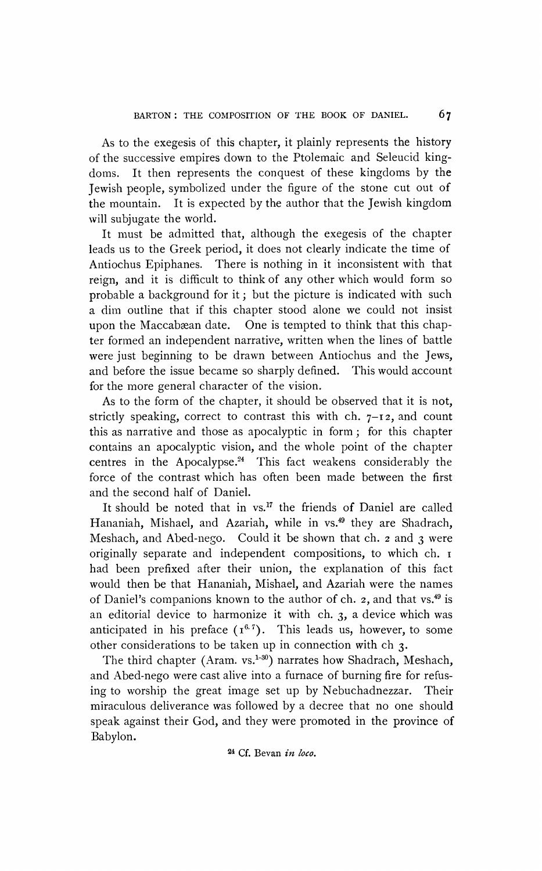**As to the exegesis of this chapter, it plainly represents the history of the successive empires down to the Ptolemaic and Seleucid kingdoms. It then represents the conquest of these kingdoms by the Jewish people, symbolized under the figure of the stone cut out of the mountain. It is expected by the author that the Jewish kingdom will subjugate the world.** 

**It must be admitted that, although the exegesis of the chapter leads us to the Greek period, it does not clearly indicate the time of Antiochus Epiphanes. There is nothing in it inconsistent with that reign, and it is difficult to think of any other which would form so probable a background for it; but the picture is indicated with such a dim outline that if this chapter stood alone we could not insist**  upon the Maccabæan date. One is tempted to think that this chap**ter formed an independent narrative, written when the lines of battle were just beginning to be drawn between Antiochus and the Jews, and before the issue became so sharply defined. This would account for the more general character of the vision.** 

**As to the form of the chapter, it should be observed that it is not, strictly speaking, correct to contrast this with ch. 7-12, and count this as narrative and those as apocalyptic in form; for this chapter contains an apocalyptic vision, and the whole point of the chapter centres in the Apocalypse.24 This fact weakens considerably the force of the contrast which has often been made between the first and the second half of Daniel.** 

**It should be noted that in vs.17 the friends of Daniel are called Hananiah, Mishael, and Azariah, while in vs.49 they are Shadrach, Meshach, and Abed-nego. Could it be shown that ch. 2 and 3 were originally separate and independent compositions, to which ch. i had been prefixed after their union, the explanation of this fact would then be that Hananiah, Mishael, and Azariah were the names of Daniel's companions known to the author of ch. 2, and that vs.49 is an editorial device to harmonize it with ch. 3, a device which was**  anticipated in his preface  $(I^{6.7})$ . This leads us, however, to some **other considerations to be taken up in connection with ch 3.** 

The third chapter (Aram. vs.<sup>1-30</sup>) narrates how Shadrach, Meshach, **and Abed-nego were cast alive into a furnace of burning fire for refusing to worship the great image set up by Nebuchadnezzar. Their miraculous deliverance was followed by a decree that no one should speak against their God, and they were promoted in the province of Babylon.** 

**24 Cf. Bevan in loco.**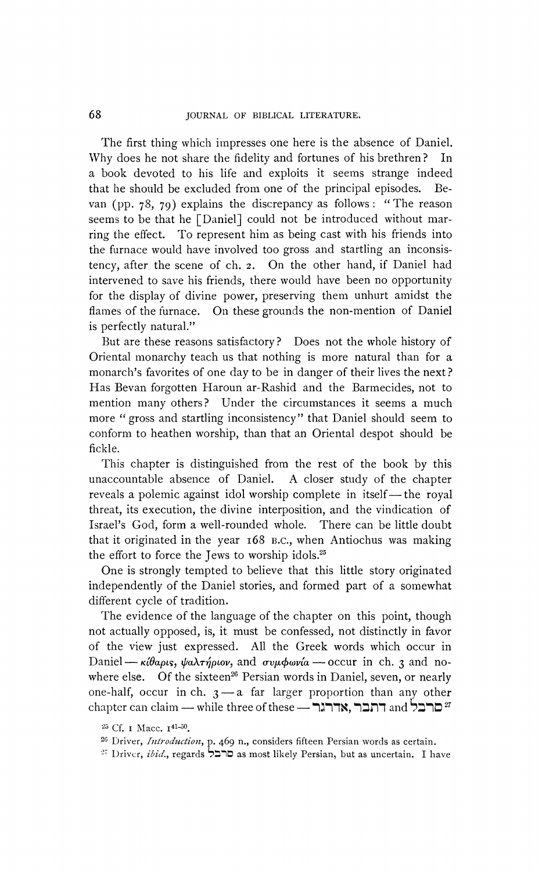**The first thing which impresses one here is the absence of Daniel.**  Why does he not share the fidelity and fortunes of his brethren? **a book devoted to his life and exploits it seems strange indeed that he should be excluded from one of the principal episodes. Bevan (pp. 78, 79) explains the discrepancy as follows: "The reason seems to be that he [Daniel] could not be introduced without marring the effect. To represent him as being cast with his friends into the furnace would have involved too gross and startling an inconsistency, after the scene of ch. 2. On the other hand, if Daniel had intervened to save his friends, there would have been no opportunity for the display of divine power, preserving them unhurt amidst the flames of the furnace. On these grounds the non-mention of Daniel is perfectly natural."** 

**But are these reasons satisfactory? Does not the whole history of Oriental monarchy teach us that nothing is more natural than for a monarch's favorites of one day to be in danger of their lives the next ? Has Bevan forgotten Haroun ar-Rashid and the Barmecides, not to mention many others? Under the circumstances it seems a much more " gross and startling inconsistency" that Daniel should seem to conform to heathen worship, than that an Oriental despot should be fickle.** 

**This chapter is distinguished from the rest of the book by this unaccountable absence of Daniel. A closer study of the chapter**  reveals a polemic against idol worship complete in itself—the royal **threat, its execution, the divine interposition, and the vindication of Israel's God, form a well-rounded whole. There can be little doubt that it originated in the year I68 B.C., when Antiochus was making the effort to force the Jews to worship idols.25** 

**One is strongly tempted to believe that this little story originated independently of the Daniel stories, and formed part of a somewhat different cycle of tradition.** 

**The evidence of the language of the chapter on this point, though not actually opposed, is, it must be confessed, not distinctly in favor of the view just expressed. All the Greek words which occur in**  Daniel – κίθαρις, ψαλτήριον, and συμφωνία – occur in ch. 3 and nowhere else. Of the sixteen<sup>26</sup> Persian words in Daniel, seven, or nearly one-half, occur in ch.  $3-$ a far larger proportion than any other **chapter can claim - while three of these - a' =, 11nD and +b'1 <sup>27</sup>**

**<sup>25</sup> Cf. I MIacc. I41-50.** 

<sup>&</sup>lt;sup>26</sup> Driver, *Introduction*, p. 469 n., considers fifteen Persian words as certain.

**<sup>27</sup> Driver, ibidr., regards [p'D as most likely Persian, but as uncertain. I have**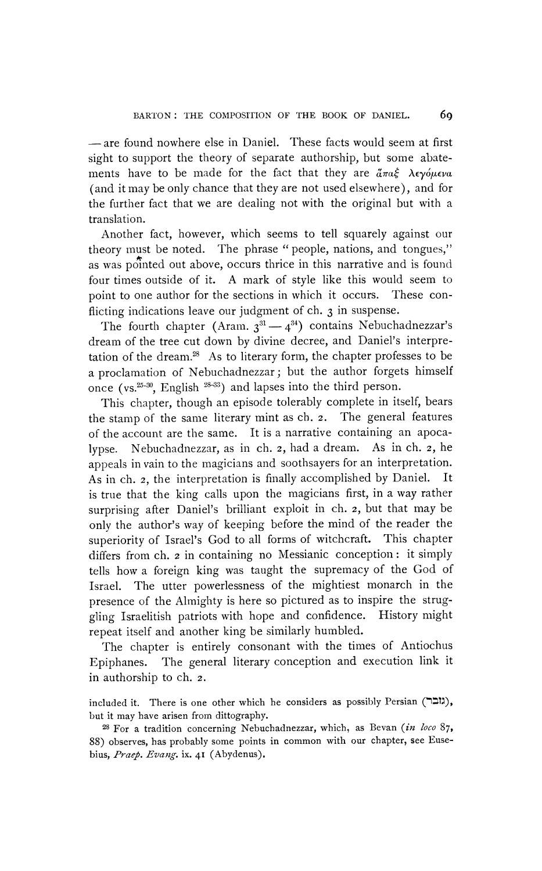**are found nowhere else in Daniel. These facts would seem at first sight to support the theory of separate authorship, but some abate**ments have to be made for the fact that they are  $\tilde{a}\pi a\xi \lambda \epsilon \gamma \delta \mu \epsilon \nu a$ **(and it may be only chance that they are not used elsewhere), and for the further fact that we are dealing not with the original but with a translation.** 

**Another fact, however, which seems to tell squarely against our theory must be noted. The phrase "people, nations, and tongues," as was pointed out above, occurs thrice in this narrative and is found four times outside of it. A mark of style like this would seem to point to one author for the sections in which it occurs. These conflicting indications leave our judgment of ch. 3 in suspense.** 

The fourth chapter (Aram.  $3^{31} - 4^{34}$ ) contains Nebuchadnezzar's **dream of the tree cut down by divine decree, and Daniel's interpretation of the dream.28 As to literary form, the chapter professes to be a proclamation of Nebuchadnezzar; but the author forgets himself once (vs.25-30, English 2-33) and lapses into the third person.** 

**This chapter, though an episode tolerably complete in itself, bears the stamp of the same literary mint as ch. 2. The general features of the account are the same. It is a narrative containing an apocalypse. Nebuchadnezzar, as in ch. 2, had a dream. As in ch. 2, he appeals in vain to the magicians and soothsayers for an interpretation. As in ch. 2, the interpretation is finally accomplished by Daniel. It is true that the king calls upon the magicians first, in a way rather surprising after Daniel's brilliant exploit in ch. 2, but that may be only the author's way of keeping before the mind of the reader the superiority of Israel's God to all forms of witchcraft. This chapter differs from ch. 2 in containing no Messianic conception: it simply tells how a foreign king was taught the supremacy of the God of Israel. The utter powerlessness of the mightiest monarch in the presence of the Almighty is here so pictured as to inspire the struggling Israelitish patriots with hope and confidence. History might repeat itself and another king be similarly humbled.** 

**The chapter is entirely consonant with the times of Antiochus Epiphanes. The general literary conception and execution link it in authorship to ch. 2.** 

included it. There is one other which he considers as possibly Persian ( $\mathbb{Z}$ ג), **but it may have arisen from dittography.** 

**<sup>28</sup>For a tradition concerning Nebuchadnezzar, which, as Bevan (in loco 87, 88) observes, has probably some points in common with our chapter, see Euse**bius, Praep. Evang. ix. 41 (Abydenus).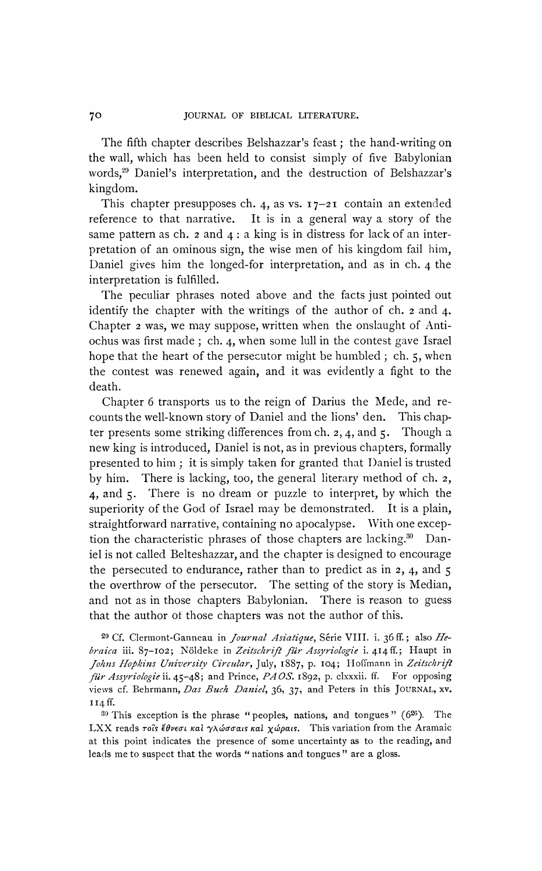**The fifth chapter describes Belshazzar's feast; the hand-writing on the wall, which has been held to consist simply of five Babylonian words,29 Daniel's interpretation, and the destruction of Belshazzar's kingdom.** 

**This chapter presupposes ch. 4, as vs. 7-2I contain an extended reference to that narrative. It is in a general way a story of the same pattern as ch. 2 and 4: a king is in distress for lack of an interpretation of an ominous sign, the wise men of his kingdom fail him, Daniel gives him the longed-for interpretation, and as in ch. 4 the interpretation is fulfilled.** 

**The peculiar phrases noted above and the facts just pointed out identify the chapter with the writings of the author of ch. 2 and 4. Chapter 2 was, we may suppose, written when the onslaught of Antiochus was first made; ch. 4, when some lull in the contest gave Israel hope that the heart of the persecutor might be humbled; ch. 5, when the contest was renewed again, and it was evidently a fight to the death.** 

**Chapter 6 transports us to the reign of Darius the Mede, and recounts the well-known story of Daniel and the lions' den. This chapter presents some striking differences from ch. 2, 4, and 5. Though a new king is introduced, Daniel is not, as in previous chapters, formally presented to him ; it is simply taken for granted that Ianiel is trusted by him. There is lacking, too, the general literary method of ch. 2, 4, and 5. There is no dream or puzzle to interpret, by which the superiority of the God of Israel may be demonstrated. It is a plain, straightforward narrative, containing no apocalypse. With one exception the characteristic phrases of those chapters are lacking.30 Daniel is not called Belteshazzar, and the chapter is designed to encourage the persecuted to endurance, rather than to predict as in 2, 4, and 5 the overthrow of the persecutor. The setting of the story is Median, and not as in those chapters Babylonian. There is reason to guess that the author ot those chapters was not the author of this.** 

**29 Cf. Clermont-Ganneau in Journal Asiatique, Serie VIII. i. 36 ff.; also Hebraica iii. 87-IO2; Noldeke in Zeitschzrif fiir Assyriologie i. 414ff.; Haupt in Johns Hopkins University Circular, July, 1887, p. I04; Hoffmann in Zeitschrift fiir Assyriologie ii. 45-48; and Prince, PA OS. I892, p. clxxxii. ff. For opposing views cf. Behrmann, Das Buch Daniel, 36, 37, and Peters in this JOURNAL, xv. II4 ff.** 

**<sup>30</sup>This exception is the phrase "peoples, nations, and tongues " (626). The**  LXX reads τοίs έθνεσι και γλώσσαιs και χώραιs. This variation from the Aramaic **at this point indicates the presence of some uncertainty as to the reading, and leads me to suspect that the words " nations and tongues " are a gloss.**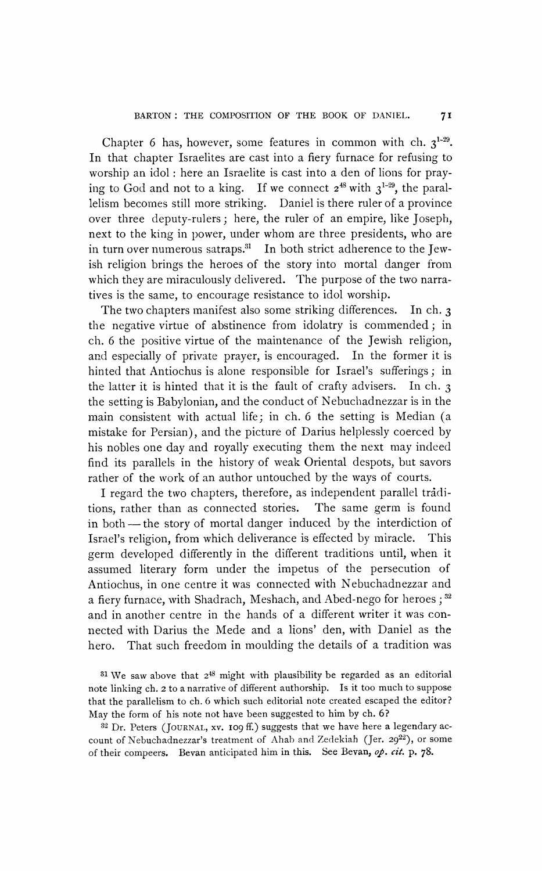Chapter 6 has, however, some features in common with ch. 3<sup>1-29</sup>. **In that chapter Israelites are cast into a fiery furnace for refusing to worship an idol: here an Israelite is cast into a den of lions for pray**ing to God and not to a king. If we connect  $2^{48}$  with  $3^{1-29}$ , the paral**lelism becomes still more striking. Daniel is there ruler of a province over three deputy-rulers; here, the ruler of an empire, like Joseph, next to the king in power, under whom are three presidents, who are in turn over numerous satraps.3' In both strict adherence to the Jewish religion brings the heroes of the story into mortal danger from which they are miraculously delivered. The purpose of the two narratives is the same, to encourage resistance to idol worship.** 

**The two chapters manifest also some striking differences. In ch. 3 the negative virtue of abstinence from idolatry is commended; in ch. 6 the positive virtue of the maintenance of the Jewish religion, and especially of private prayer, is encouraged. In the former it is hinted that Antiochus is alone responsible for Israel's sufferings; in the latter it is hinted that it is the fault of crafty advisers. In ch. 3 the setting is Babylonian, and the conduct of Nebuchadnezzar is in the main consistent with actual life; in ch. 6 the setting is Median (a mistake for Persian), and the picture of Darius helplessly coerced by his nobles one day and royally executing them the next may indeed find its parallels in the history of weak Oriental despots, but savors rather of the work of an author untouched by the ways of courts.** 

**I regard the two chapters, therefore, as independent parallel traditions, rather than as connected stories. The same germ is found**  in both — the story of mortal danger induced by the interdiction of **Israel's religion, from which deliverance is effected by miracle. This germ developed differently in the different traditions until, when it assumed literary form under the impetus of the persecution of Antiochus, in one centre it was connected with Nebuchadnezzar and a fiery furnace, with Shadrach, Meshach, and Abed-nego for heroes ;32 and in another centre in the hands of a different writer it was connected with Darius the Mede and a lions' den, with Daniel as the hero. That such freedom in moulding the details of a tradition was** 

**31 We saw above that 248 might with plausibility be regarded as an editorial note linking ch. 2 to a narrative of different authorship. Is it too much to suppose that the parallelism to ch. 6 which such editorial note created escaped the editor? May the form of his note not have been suggested to him by ch. 6?** 

**32 Dr. Peters (JOURNAL, xv. IO9 ff.) suggests that we have here a legendary account of Nebuchadnezzar's treatment of Ahab and Zedekiah (Jer. 2922), or some of their compeers. Bevan anticipated him in this. See Bevan, op. cit. p. 78.**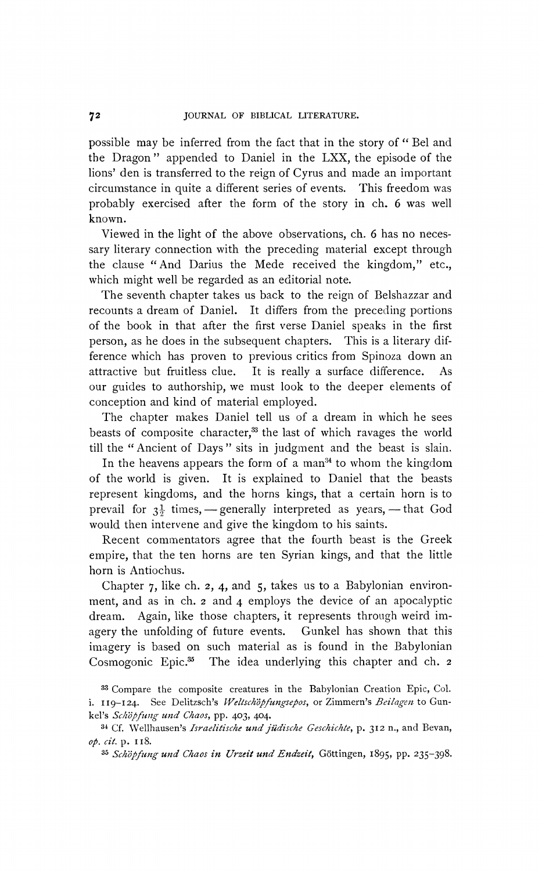**possible may be inferred from the fact that in the story of " Bel and the Dragon" appended to Daniel in the LXX, the episode of the lions' den is transferred to the reign of Cyrus and made an important circumstance in quite a different series of events. This freedom was probably exercised after the form of the story in ch. 6 was well known.** 

**Viewed in the light of the above observations, ch. 6 has no necessary literary connection with the preceding material except through the clause "And Darius the Mede received the kingdom," etc., which might well be regarded as an editorial note.** 

**The seventh chapter takes us back to the reign of Belshazzar and recounts a dream of Daniel. It differs from the preceding portions of the book in that after the first verse Daniel speaks in the first person, as he does in the subsequent chapters. This is a literary difference which has proven to previous critics from Spinoza down an**  It is really a surface difference. **our guides to authorship, we must look to the deeper elements of conception and kind of material employed.** 

**The chapter makes Daniel tell us of a dream in which he sees beasts of composite character,33 the last of which ravages the world till the " Ancient of Days " sits in judgment and the beast is slain.** 

In the heavens appears the form of a man<sup>34</sup> to whom the kingdom **of the world is given. It is explained to Daniel that the beasts represent kingdoms, and the horns kings, that a certain horn is to**  prevail for  $3\frac{1}{2}$  times, — generally interpreted as years, — that God **would then intervene and give the kingdom to his saints.** 

**Recent commentators agree that the fourth beast is the Greek empire, that the ten horns are ten Syrian kings, and that the little horn is Antiochus.** 

**Chapter 7, like ch. 2, 4, and 5, takes us to a Babylonian environment, and as in ch. 2 and 4 employs the device of an apocalyptic dream. Again, like those chapters, it represents through weird imagery the unfolding of future events. Gunkel has shown that this imagery is based on such material as is found in the Babylonian Cosmogonic Epic.35 The idea underlying this chapter and ch. <sup>2</sup>**

**<sup>33</sup> Compare the composite creatures in the Babylonian Creation Epic, Col.**  i. 119-124. See Delitzsch's Weltschöpfungsepos, or Zimmern's Beilagen to Gunkel's Schöpfung und Chaos, pp. 403, 404.

**<sup>34</sup> Cf. Wellhausen's Israelitische undjiidische Geschichte, p. 312 n., and Bevan, op. cit. p. 18.** 

<sup>&</sup>lt;sup>35</sup> Schöpfung und Chaos in Urzeit und Endzeit, Göttingen, 1895, pp. 235-398.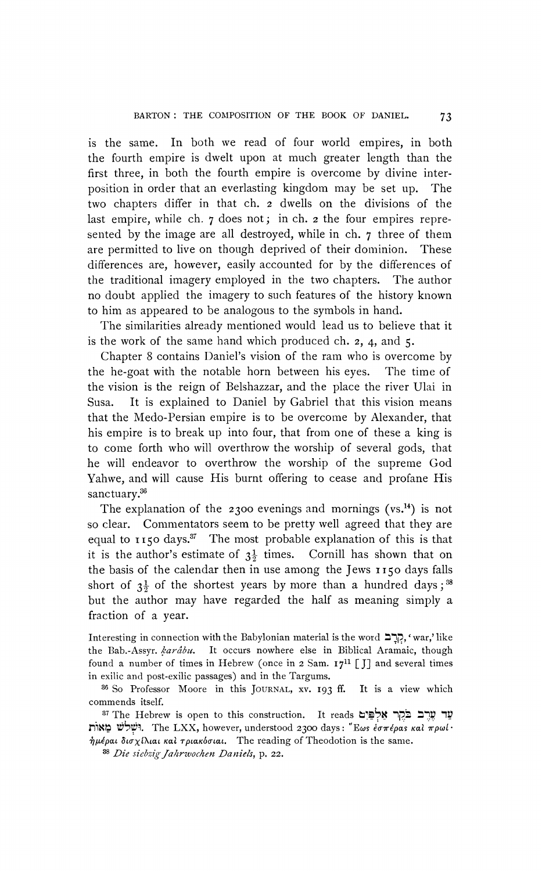**is the same. In both we read of four world empires, in both the fourth empire is dwelt upon at much greater length than the first three, in both the fourth empire is overcome by divine interposition in order that an everlasting kingdom may be set up. The two chapters differ in that ch. 2 dwells on the divisions of the last empire, while ch. 7 does not; in ch. 2 the four empires represented by the image are all destroyed, while in ch. 7 three of them are permitted to live on though deprived of their dominion. These differences are, however, easily accounted for by the differences of the traditional imagery employed in the two chapters. The author no doubt applied the imagery to such features of the history known to him as appeared to be analogous to the symbols in hand.** 

**The similarities already mentioned would lead us to believe that it is the work of the same hand which produced ch. 2, 4, and 5.** 

**Chapter 8 contains Daniel's vision of the ram who is overcome by the he-goat with the notable horn between his eyes. The time of the vision is the reign of Belshazzar, and the place the river Ulai in Susa. It is explained to Daniel by Gabriel that this vision means that the Medo-Persian empire is to be overcome by Alexander, that his empire is to break up into four, that from one of these a king is to come forth who will overthrow the worship of several gods, that he will endeavor to overthrow the worship of the supreme God Yahwe, and will cause His burnt offering to cease and profane His sanctuary.36** 

**The explanation of the 2300 evenings and mornings (vs.14) is not so clear. Commentators seem to be pretty well agreed that they are equal to 1150 days.37 The most probable explanation of this is that**  it is the author's estimate of  $3\frac{1}{2}$  times. Cornill has shown that on **the basis of the calendar then in use among the Jews 1150 days falls**  short of  $3\frac{1}{2}$  of the shortest years by more than a hundred days;<sup>38</sup> **but the author may have regarded the half as meaning simply a fraction of a year.** 

**Interesting in connection with the Babylonian material is the word 'p,' war,' like**  the Bab.-Assyr. karâbu. It occurs nowhere else in Biblical Aramaic, though **found a number of times in Hebrew (once in 2 Sam. I711 [J] and several times in exilic and post-exilic passages) and in the Targums.** 

**<sup>36</sup>So Professor Moore in this JOURNAL, xv. 193 ff. It is a view which commends itself.** 

עַר עִרֵב בֹּקֵר אַלְפֵּיִם It reads עד ערֵב בֹּקֵר אַלְפַּיִם It reads **Inixt: Interpose** *INX, however, understood 2300 days: "Ews εσπέραs και πρωί*  $\dot{\eta}$ μέραι δισχίλιαι και *τριακόσιαι*. The reading of Theodotion is the same.

**38 Die siebzig Jahrzochen Daniels, p. 22.**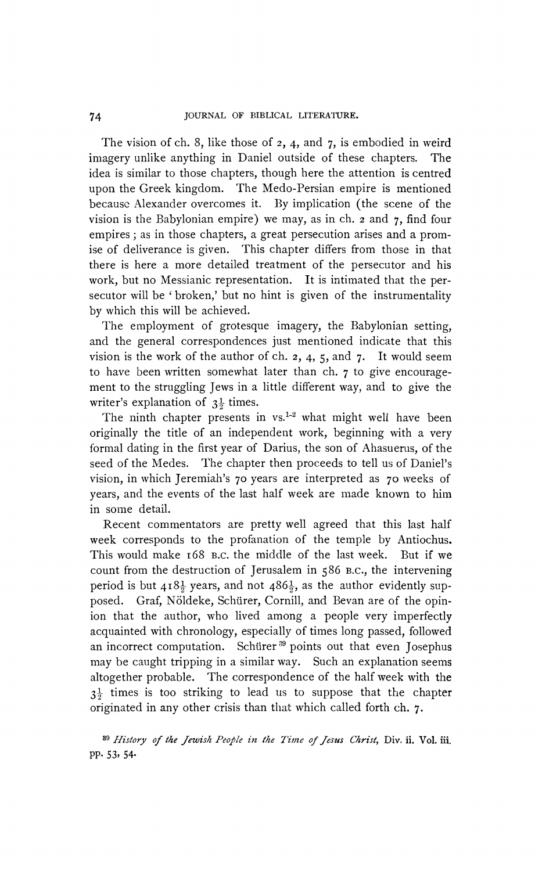**The vision of ch. 8, like those of 2, 4, and 7, is embodied in weird imagery unlike anything in Daniel outside of these chapters. The idea is similar to those chapters, though here the attention is centred upon the Greek kingdom. The Medo-Persian empire is mentioned because Alexander overcomes it. By implication (the scene of the vision is the Babylonian empire) we may, as in ch. 2 and 7, find four empires; as in those chapters, a great persecution arises and a promise of deliverance is given. This chapter differs from those in that there is here a more detailed treatment of the persecutor and his work, but no Messianic representation. It is intimated that the persecutor will be 'broken,' but no hint is given of the instrumentality by which this will be achieved.** 

**The employment of grotesque imagery, the Babylonian setting, and the general correspondences just mentioned indicate that this vision is the work of the author of ch. 2, 4, 5, and 7. It would seem to have been written somewhat later than ch. 7 to give encouragement to the struggling Jews in a little different way, and to give the**  writer's explanation of  $3\frac{1}{2}$  times.

The ninth chapter presents in vs.<sup>1-2</sup> what might well have been **originally the title of an independent work, beginning with a very formal dating in the first year of Darius, the son of Ahasuerus, of the seed of the Medes. The chapter then proceeds to tell us of Daniel's vision, in which Jeremiah's 70 years are interpreted as 70 weeks of years, and the events of the last half week are made known to him in some detail.** 

**Recent commentators are pretty well agreed that this last half week corresponds to the profanation of the temple by Antiochus. This would make I68 B.C. the middle of the last week. But if we count from the destruction of Jerusalem in 586 B.c., the intervening**  period is but  $418\frac{1}{2}$  years, and not  $486\frac{1}{2}$ , as the author evidently sup**posed. Graf, Noldeke, Schiirer, Cornill, and Bevan are of the opinion that the author, who lived among a people very imperfectly acquainted with chronology, especially of times long passed, followed**  an incorrect computation. Schürer<sup>39</sup> points out that even Josephus **may be caught tripping in a similar way. Such an explanation seems altogether probable. The correspondence of the half week with the 3- times is too striking to lead us to suppose that the chapter originated in any other crisis than that which called forth ch. 7.** 

**<sup>39</sup>History of the Jewish People in the Time of Jesus Christ, Div. ii. Vol. iii. PP. 53, 54.**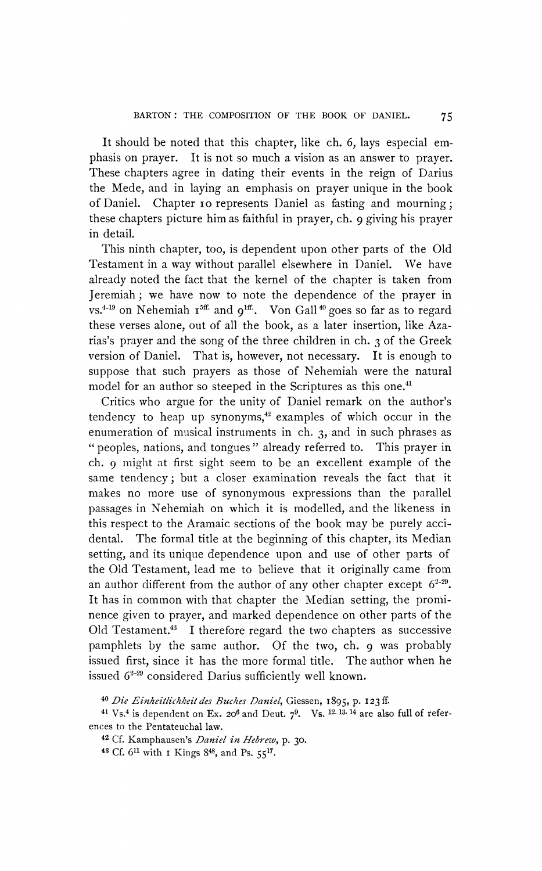**It should be noted that this chapter, like ch. 6, lays especial emphasis on prayer. It is not so much a vision as an answer to prayer. These chapters agree in dating their events in the reign of Darius the Mede, and in laying an emphasis on prayer unique in the book of Daniel. Chapter io represents Daniel as fasting and mourning; these chapters picture him as faithful in prayer, ch. 9 giving his prayer in detail.** 

**This ninth chapter, too, is dependent upon other parts of the Old Testament in a way without parallel elsewhere in Daniel. We have already noted the fact that the kernel of the chapter is taken from Jeremiah; we have now to note the dependence of the prayer in vs.4-19 on Nehemiah I5f' and 9lf'. Von Gall40 goes so far as to regard these verses alone, out of all the book, as a later insertion, like Azarias's prayer and the song of the three children in ch. 3 of the Greek version of Daniel. That is, however, not necessary. It is enough to suppose that such prayers as those of Nehemiah were the natural**  model for an author so steeped in the Scriptures as this one.<sup>41</sup>

**Critics who argue for the unity of Daniel remark on the author's**  tendency to heap up synonyms,<sup>42</sup> examples of which occur in the **enumeration of musical instruments in ch. 3, and in such phrases as "peoples, nations, and tongues" already referred to. This prayer in ch. 9 might at first sight seem to be an excellent example of the same tendency; but a closer examination reveals the fact that it makes no more use of synonymous expressions than the parallel passages in Nehemiah on which it is modelled, and the likeness in this respect to the Aramaic sections of the book may be purely accidental. The formal title at the beginning of this chapter, its Median setting, and its unique dependence upon and use of other parts of the Old Testament, lead me to believe that it originally came from**  an author different from the author of any other chapter except  $6^{2-29}$ . **It has in common with that chapter the Median setting, the prominence given to prayer, and marked dependence on other parts of the Old Testament.43 I therefore regard the two chapters as successive pamphlets by the same author. Of the two, ch. 9 was probably issued first, since it has the more formal title. The author when he**  issued 6<sup>2-29</sup> considered Darius sufficiently well known.

**<sup>40</sup>Die Einheitlichkeit des Buches Daniel, Giessen, I895, p. 123 ff.** 

<sup>41</sup> Vs.<sup>4</sup> is dependent on Ex.  $20^6$  and Deut.  $7^9$ . Vs. <sup>12</sup> <sup>13</sup> <sup>14</sup> are also full of refer**ences to the Pentateuchal law.** 

**<sup>42</sup>Cf. Kamphausen's Daniel in Hebrew, p. 30.** 

**<sup>43</sup>Cf. 611 with I Kings 848, and Ps. 5517.**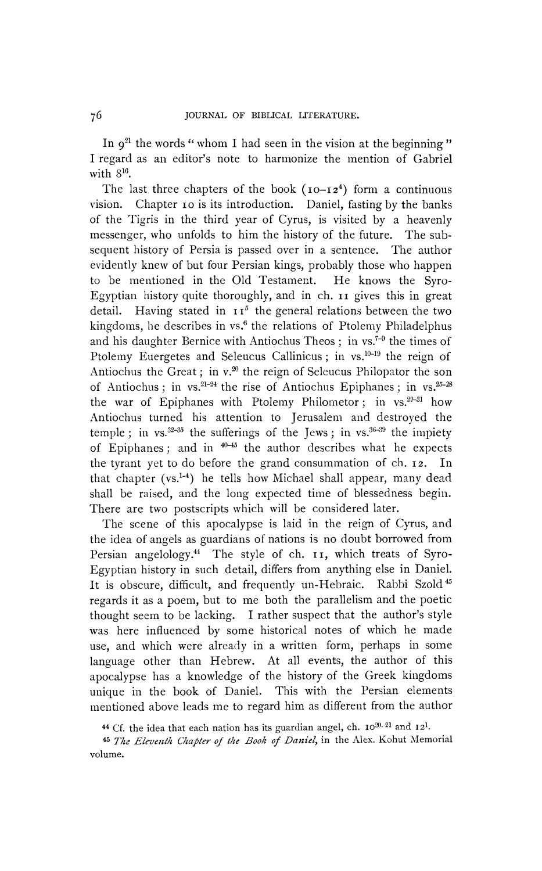**In <sup>921</sup>the words " whom I had seen in the vision at the beginning " I regard as an editor's note to harmonize the mention of Gabriel with 816.** 

**The last three chapters of the book (IO-I24) form a continuous vision. Chapter io is its introduction. Daniel, fasting by the banks of the Tigris in the third year of Cyrus, is visited by a heavenly messenger, who unfolds to him the history of the future. The subsequent history of Persia is passed over in a sentence. The author evidently knew of but four Persian kings, probably those who happen**  to be mentioned in the Old Testament. Egyptian history quite thoroughly, and in ch. **ii** gives this in great detail. Having stated in  $I_1$ <sup>5</sup> the general relations between the two **kingdoms, he describes in vs.6 the relations of Ptolemy Philadelphus and his daughter Bernice with Antiochus Theos; in vs.7-9 the times of Ptolemy Euergetes and Seleucus Callinicus; in vs.'0-19 the reign of Antiochus the Great; in v.20 the reign of Seleucus Philopator the son of Antiochus; in vs.21-24 the rise of Antiochus Epiphanes; in vs.25-28 the war of Epiphanes with Ptolemy Philometor; in vs.2-31 how Antiochus turned his attention to Jerusalem and destroyed the temple;** in  $\text{vs.}^{32-35}$  the sufferings of the Jews; in  $\text{vs.}^{36-39}$  the impiety **of Epiphanes; and in 40-4 the author describes what he expects the tyrant yet to do before the grand consummation of ch. I2. In that chapter (vs.l-4) he tells how Michael shall appear, many dead shall be raised, and the long expected time of blessedness begin. There are two postscripts which will be considered later.** 

**The scene of this apocalypse is laid in the reign of Cyrus, and the idea of angels as guardians of nations is no doubt borrowed from Persian angelology.44 The style of ch. II, which treats of Syro-Egyptian history in such detail, differs from anything else in Daniel.**  It is obscure, difficult, and frequently un-Hebraic. Rabbi Szold<sup>45</sup> **regards it as a poem, but to me both the parallelism and the poetic thought seem to be lacking. I rather suspect that the author's style was here influenced by some historical notes of which he made use, and which were already in a written form, perhaps in some language other than Hebrew. At all events, the author of this apocalypse has a knowledge of the history of the Greek kingdoms unique in the book of Daniel. This with the Persian elements mentioned above leads me to regard him as different from the author** 

**44 Cf. the idea that each nation has its guardian angel, ch. io20- 21 and I21.** 

<sup>45</sup> The Eleventh Chapter of the Book of Daniel, in the Alex. Kohut Memorial **volume.**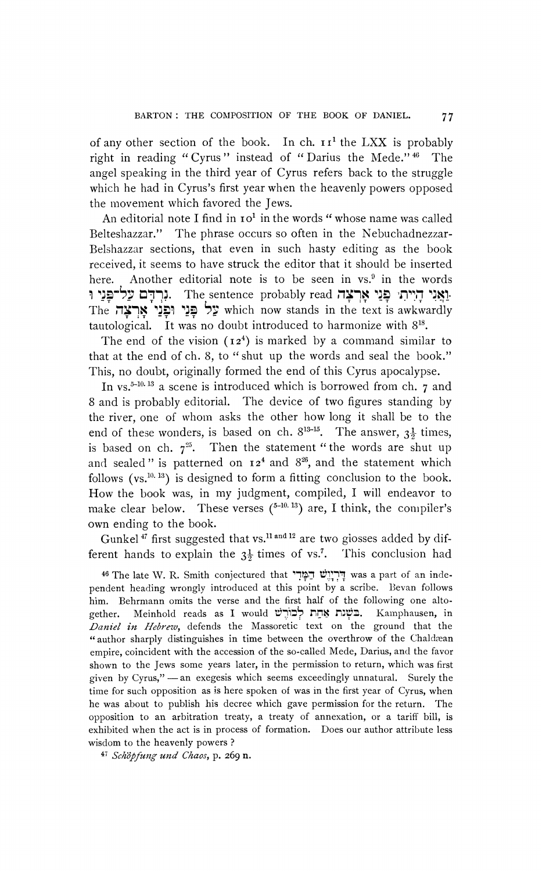of any other section of the book. In ch.  $I I^1$  the LXX is probably **right in reading "Cyrus" instead of "Darius the Mede."46 The angel speaking in the third year of Cyrus refers back to the struggle which he had in Cyrus's first year when the heavenly powers opposed the movement which favored the Jews.** 

An editorial note I find in 10<sup>1</sup> in the words " whose name was called **Belteshazzar." The phrase occurs so often in the Nebuchadnezzar-Belshazzar sections, that even in such hasty editing as the book received, it seems to have struck the editor that it should be inserted here. Another editorial note is to be seen in vs.9 in the words וֹאֲנִי דָיִיתִי בָּנֵי אָרְצָה The sentence probably read יִנְרְדָּם עַל־פַּנַי וּ** The **ארצה 'ופני ארצה' ארצה' (על פני ופני "Re The TEX" tautological. It was no doubt introduced to harmonize with 818.** 

The end of the vision  $(12^4)$  is marked by a command similar to **that at the end of ch. 8, to " shut up the words and seal the book." This, no doubt, originally formed the end of this Cyrus apocalypse.** 

**In vs.5-10.13 a scene is introduced which is borrowed from ch. 7 and 8 and is probably editorial. The device of two figures standing by the river, one of whom asks the other how long it shall be to the**  end of these wonders, is based on ch.  $8^{13-15}$ . The answer,  $3\frac{1}{2}$  times, is based on ch.  $7^{25}$ . Then the statement "the words are shut up **and sealed" is patterned on I24 and 826, and the statement which**  follows  $(vs.10, 13)$  is designed to form a fitting conclusion to the book. **How the book was, in my judgment, compiled, I will endeavor to**  make clear below. These verses  $(5-10.13)$  are, I think, the compiler's **own ending to the book.** 

Gunkel<sup>47</sup> first suggested that **vs.**<sup>11 and 12</sup> are two glosses added by dif**ferent** hands to explain the  $3\frac{1}{2}$  times of **vs.**<sup>7</sup>. This conclusion had

46 The late W. R. Smith conjectured that דְּרְיְ**וָשׁ דַּפְּדִי was a** part of an inde**pendent heading wrongly introduced at this point by a scribe. Bevan follows him. Behrmann omits the verse and the first half of the following one alto**gether. Meinhold reads as I would בִשְׁנֹת אֲחַת לְכוֹרָשׁ. Kamphausen, in **Daniel in Hebrew, defends the Massoretic text on the ground that the "author sharply distinguishes in time between the overthrow of the Chald-ean empire, coincident with the accession of the so-called Mede, Darius, and the favor shown to the Jews some years later, in the permission to return, which was first**  given by Cyrus," - an exegesis which seems exceedingly unnatural. Surely the **time for such opposition as is here spoken of was in the first year of Cyrus, when he was about to publish his decree which gave permission for the return. The opposition to an arbitration treaty, a treaty of annexation, or a tariff bill, is exhibited when the act is in process of formation. Does our author attribute less wisdom to the heavenly powers ?** 

**47 Schoipfung und Chaos, p. 269 n.**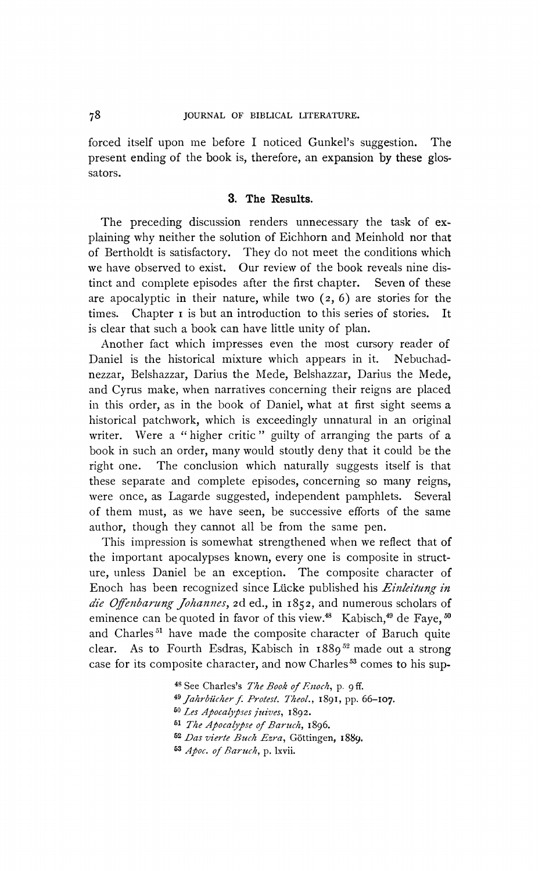**forced itself upon me before I noticed Gunkel's suggestion. The present ending of the book is, therefore, an expansion by these glossators.** 

## **3. The Results.**

**The preceding discussion renders unnecessary the task of explaining why neither the solution of Eichhorn and Meinhold nor that of Bertholdt is satisfactory. They do not meet the conditions which we have observed to exist. Our review of the book reveals nine distinct and complete episodes after the first chapter. Seven of these**  are apocalyptic in their nature, while two  $(2, 6)$  are stories for the times. Chapter  $\bf{r}$  is but an introduction to this series of stories. It times. Chapter **I** is but an introduction to this series of stories. **is clear that such a book can have little unity of plan.** 

**Another fact which impresses even the most cursory reader of Daniel is the historical mixture which appears in it. Nebuchadnezzar, Belshazzar, Darius the Mede, Belshazzar, Darius the Mede, and Cyrus make, when narratives concerning their reigns are placed in this order, as in the book of Daniel, what at first sight seems a historical patchwork, which is exceedingly unnatural in an original writer. Were a "higher critic " guilty of arranging the parts of a book in such an order, many would stoutly deny that it could be the**  The conclusion which naturally suggests itself is that **these separate and complete episodes, concerning so many reigns, were once, as Lagarde suggested, independent pamphlets. Several of them must, as we have seen, be successive efforts of the same author, though they cannot all be from the same pen.** 

**This impression is somewhat strengthened when we reflect that of the important apocalypses known, every one is composite in structure, unless Daniel be an exception. The composite character of Enoch has been recognized since Liicke published his Einleitung in die Offenbarzng Johannes, 2d ed., in 1852, and numerous scholars of**  eminence can be quoted in favor of this view.<sup>48</sup> Kabisch.<sup>49</sup> de Fave.<sup>50</sup> and Charles<sup>51</sup> have made the composite character of Baruch quite clear. As to Fourth Esdras, Kabisch in 1889<sup>52</sup> made out a strong case for its composite character, and now Charles<sup>53</sup> comes to his sup-

> <sup>48</sup> See Charles's *The Book of Enoch*, p. 9 ff. **49jahrbiicherf: Protest. 7heol., 189I, pp. 66-107. 50 Les Apocalypses juives, 1892. <sup>51</sup>The Apocalypse of Baruzch, 1896. 52 Das vierte Buch Ezra, Gottingen, I889. 53 Apoc. of Baruch, p. lxvii.**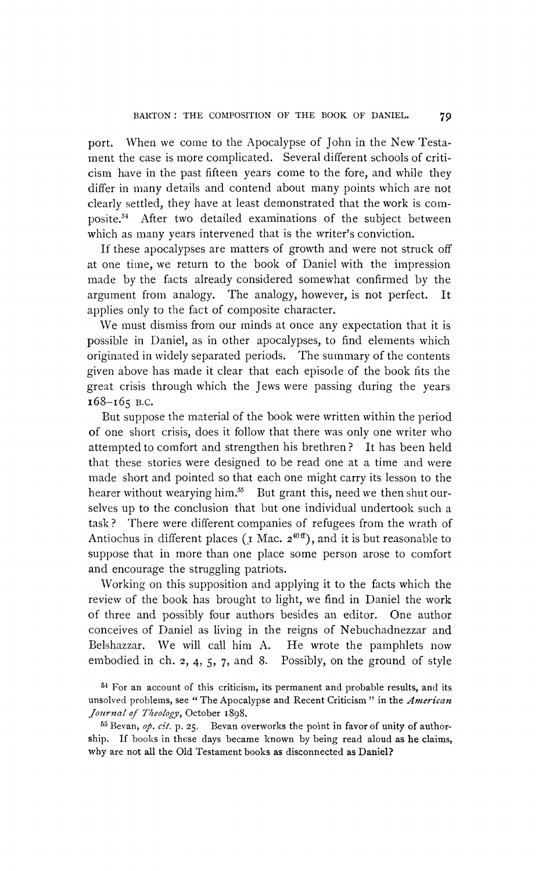**port. When we come to the Apocalypse of John in the New Testament the case is more complicated. Several different schools of criticism have in the past fifteen years come to the fore, and while they differ in many details and contend about many points which are not clearly settled, they have at least demonstrated that the work is composite.54 After two detailed examinations of the subject between which as many years intervened that is the writer's conviction.** 

**If these apocalypses are matters of growth and were not struck off at one time, we return to the book of Daniel with the impression made by the facts already considered somewhat confirmed by the argument from analogy. The analogy, however, is not perfect. It applies only to the fact of composite character.** 

**We must dismiss from our minds at once any expectation that it is possible in Daniel, as in other apocalypses, to find elements which originated in widely separated periods. The summary of the contents given above has made it clear that each episode of the book fits the great crisis through which the Jews were passing during the years 168-165 B.C.** 

**But suppose the material of the book were written within the period of one short crisis, does it follow that there was only one writer who attempted to comfort and strengthen his brethren ? It has been held that these stories were designed to be read one at a time and were made short and pointed so that each one might carry its lesson to the**  hearer without wearying him.<sup>55</sup> But grant this, need we then shut our**selves up to the conclusion that but one individual undertook such a task? There were different companies of refugees from the wrath of Antiochus in different places (i Mac. 240ff), and it is but reasonable to suppose that in more than one place some person arose to comfort and encourage the struggling patriots.** 

**Working on this supposition and applying it to the facts which the review of the book has brought to light, we find in Daniel the work of three and possibly four authors besides an editor. One author conceives of Daniel as living in the reigns of Nebuchadnezzar and Belshazzar. We will call him A. He wrote the pamphlets now embodied in ch. 2, 4, 5, 7, and 8. Possibly, on the ground of style** 

**54 For an account of this criticism, its permanent and probable results, and its unsolved problems, see " The Apocalypse and Recent Criticism " in the American Jozurnal of Theology, October I898.** 

**55 Bevan, op. cit. p. 25. Bevan overworks the point in favor of unity of authorship. If books in these days became known by being read aloud as he claims, why are not all the Old Testament books as disconnected as Daniel?**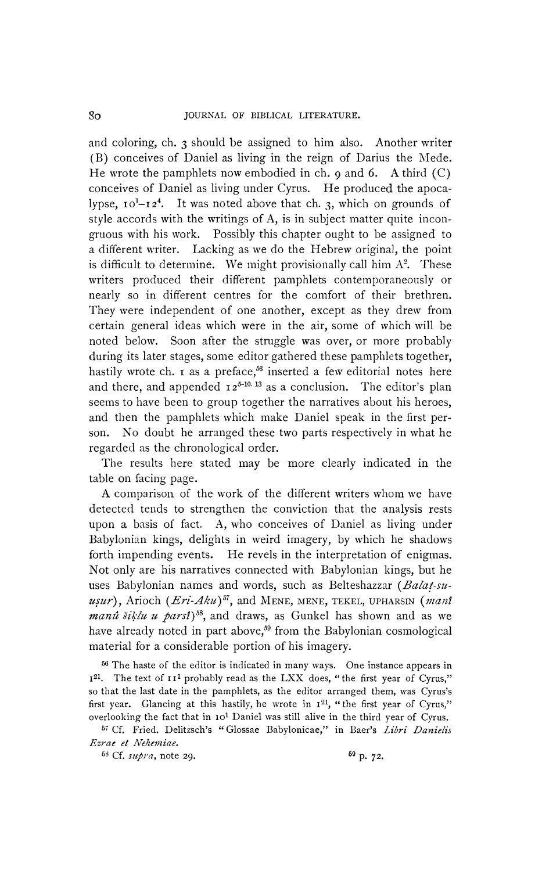**and coloring, ch. 3 should be assigned to him also. Another writer (B) conceives of Daniel as living in the reign of Darius the Mede. He wrote the pamphlets now embodied in ch. 9 and 6. A third (C) conceives of Daniel as living under Cyrus. He produced the apocalypse, Io'-I24. It was noted above that ch. 3, which on grounds of style accords with the writings of A, is in subject matter quite incongruous with his work. Possibly this chapter ought to be assigned to a different writer. Lacking as we do the Hebrew original, the point is difficult to determine. We might provisionally call him A2. These writers produced their different pamphlets contemporaneously or nearly so in different centres for the comfort of their brethren. They were independent of one another, except as they drew from certain general ideas which were in the air, some of which will be noted below. Soon after the struggle was over, or more probably during its later stages, some editor gathered these pamphlets together,**  hastily wrote ch. **r** as a preface,<sup>56</sup> inserted a few editorial notes here and there, and appended  $I_2^{5-10.13}$  as a conclusion. The editor's plan **seems to have been to group together the narratives about his heroes, and then the pamphlets which make Daniel speak in the first person. No doubt he arranged these two parts respectively in what he regarded as the chronological order.** 

**The results here stated may be more clearly indicated in the table on facing page.** 

**A comparison of the work of the different writers whom we have detected tends to strengthen the conviction that the analysis rests upon a basis of fact. A, who conceives of Daniel as living under Babylonian kings, delights in weird imagery, by which he shadows forth impending events. He revels in the interpretation of enigmas. Not only are his narratives connected with Babylonian kings, but he uses Babylonian names and words, such as Belteshazzar (Balat-su** $u$ *sur*), Arioch  $(Eri-Aku)^{57}$ , and MENE, MENE, TEKEL, UPHARSIN (mani manû šiķlu u parst)<sup>58</sup>, and draws, as Gunkel has shown and as we have already noted in part above,<sup>59</sup> from the Babylonian cosmological **material for a considerable portion of his imagery.** 

**<sup>56</sup>The haste of the editor is indicated in many ways. One instance appears in I21. The text of II1 probably read as the LXX does, "the first year of Cyrus," so that the last date in the pamphlets, as the editor arranged them, was Cyrus's first year. Glancing at this hastily, he wrote in I21, "the first year of Cyrus," overlooking the fact that in Iol Daniel was still alive in the third year of Cyrus.** 

**57 Cf. Fried. Delitzsch's "Glossae Babylonicae," in Baer's Libri Danielis Ezrae et Nehemiae.** 

**<sup>58</sup>Cf. supira, note 29. 59 p. 72.** 

**So**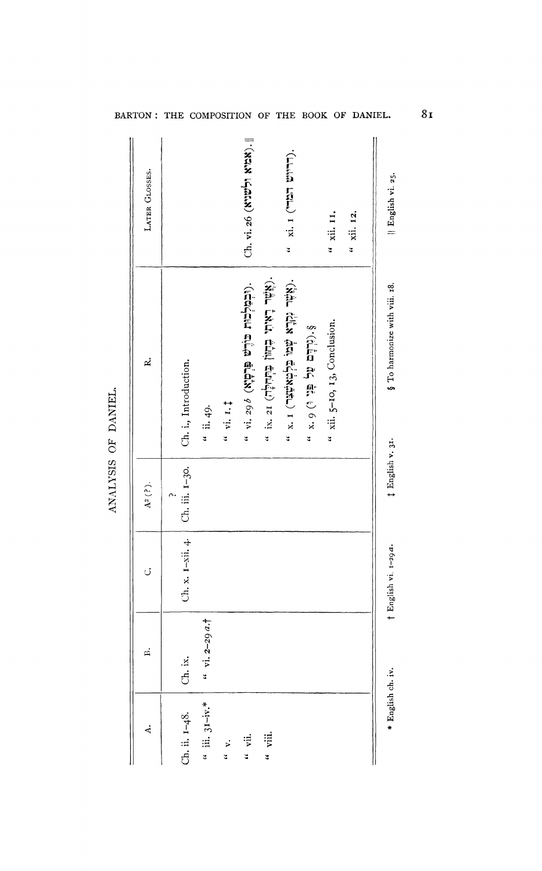| LATER GLOSSES. |                                                             |                     |                      | Ch. vi. 26 (8")P") 8"28).                     |                                                | $\cdots$ xi. $\cdots$ ("This end").      |                        | " xii. 11.                   | " xii. 12. | English vi. 25.<br>§ To harmonize with viii. 18. |
|----------------|-------------------------------------------------------------|---------------------|----------------------|-----------------------------------------------|------------------------------------------------|------------------------------------------|------------------------|------------------------------|------------|--------------------------------------------------|
| ∝              | Ch. x. $1-x$ ii. 4. Ch. iii. $1-30$ . Ch. i., Introduction. | " ii. 49.           | $"$ vi. $1.1$        | $\sim$ יוֹבְמַלְכוּת כּוֹרֶשׁ פַּרְפְאָ) (אֶצ | $\alpha$ ix, $z$ (בְּלָה הָהָם הְחַלָּה יִהוֹא | ּי צֹּיִז (בְּאֲבְאָטָלְאָ אָבְוֹל) וּ צ | S (dite de ex c) 6 x , | " xii. 5-10, 13, Conclusion. |            |                                                  |
| $A^2(?)$ .     |                                                             |                     |                      |                                               |                                                |                                          |                        |                              |            | 1 English v. 31.                                 |
|                |                                                             |                     |                      |                                               |                                                |                                          |                        |                              |            | † English vi. 1-29a.                             |
| Ä              | Ch. ix.                                                     | " vi. $2-29a.$ †    |                      |                                               |                                                |                                          |                        |                              |            |                                                  |
| 4.             | Ch. ii. 1-48.                                               | $``$ iii. $31-iv.*$ | $\ddot{\phantom{0}}$ | $"$ vii.                                      | $\ddot{\mathbf{v}}$                            |                                          |                        |                              |            | * English ch. iv.                                |

**w H-d;'1 el**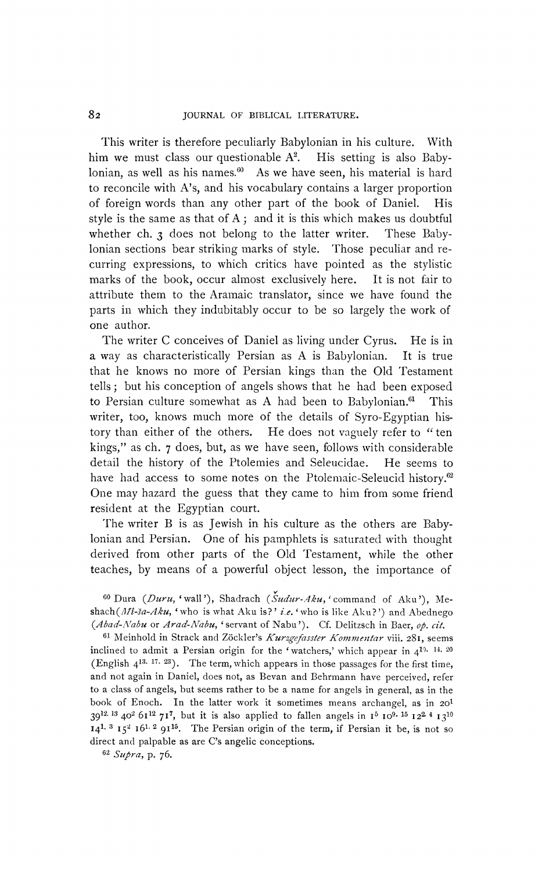**This writer is therefore peculiarly Babylonian in his culture. With him we must class our questionable A2. His setting is also Babylonian, as well as his names.6? As we have seen, his material is hard to reconcile with A's, and his vocabulary contains a larger proportion of foreign words than any other part of the book of Daniel. His style is the same as that of A; and it is this which makes us doubtful**  whether ch. 3 does not belong to the latter writer. These Baby**lonian sections bear striking marks of style. Those peculiar and recurring expressions, to which critics have pointed as the stylistic**  marks of the book, occur almost exclusively here. **attribute them to the Aramaic translator, since we have found the parts in which they indubitably occur to be so largely the work of one author.** 

**The writer C conceives of Daniel as living under Cyrus. He is in a way as characteristically Persian as A is Babylonian. It is true that he knows no more of Persian kings than the Old Testament tells; but his conception of angels shows that he had been exposed to Persian culture somewhat as A had been to Babylonian.61 This writer, too, knows much more of the details of Syro-Egyptian history than either of the others. He does not vaguely refer to " ten kings," as ch. 7 does, but, as we have seen, follows with considerable detail the history of the Ptolemies and Seleucidae. He seems to have had access to some notes on the Ptolemaic-Seleucid history.62 One may hazard the guess that they came to him from some friend resident at the Egyptian court.** 

**The writer B is as Jewish in his culture as the others are Babylonian and Persian. One of his pamphlets is saturated with thought derived from other parts of the Old Testament, while the other teaches, by means of a powerful object lesson, the importance of** 

<sup>60</sup> Dura (Duru, 'wall'), Shadrach (Sudur-Aku, 'command of Aku'), Me**shach(AMi-sa-Aku, ' who is what Aku is?' i.e. 'who is like Aku?') and Abednego**  (Abad-Nabu or Arad-Nabu, 'servant of Nabu'). Cf. Delitzsch in Baer, op. cit.

**61 Meinhold in Strack and Z6ckler's Kurzgefasster Kommentar viii. 281, seems**  inclined to admit a Persian origin for the 'watchers,' which appear in  $4^{19}$ . <sup>14. 20</sup> **(English 413- 17. 23). The term, which appears in those passages for the first time, and not again in Daniel, does not, as Bevan and Behrmann have perceived, refer to a class of angels, but seems rather to be a name for angels in general, as in the book of Enoch. In the latter work it sometimes means archangel, as in <sup>201</sup> 3912. 13 402 612 7I7, but it is also applied to fallen angels in I5 Io9- 15 122 4 I310 I41. 3 i52 i61- 2 9I15. The Persian origin of the term, if Persian it be, is not so direct and palpable as are C's angelic conceptions.** 

**<sup>62</sup>Supra, p. 76.**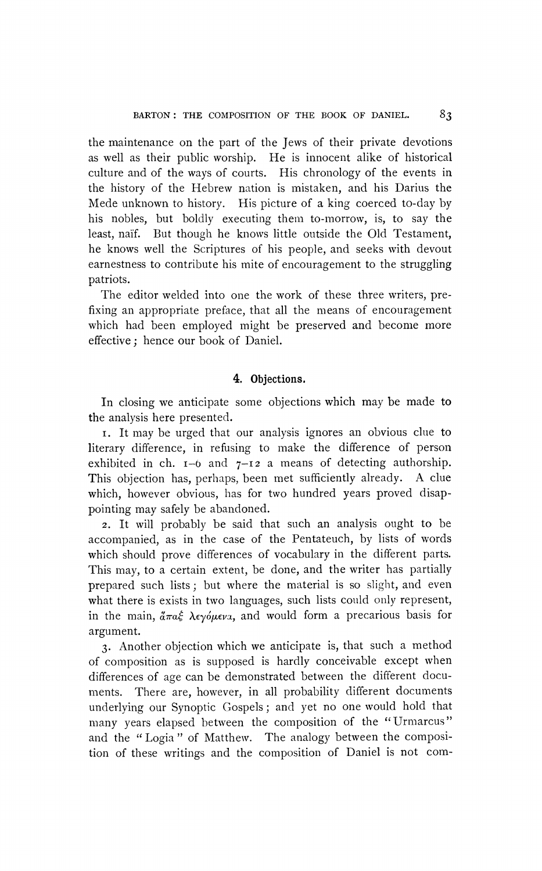**the maintenance on the part of the Jews of their private devotions as well as their public worship. He is innocent alike of historical culture and of the ways of courts. His chronology of the events in the history of the Hebrew nation is mistaken, and his Darius the Mede unknown to history. His picture of a king coerced to-day by his nobles, but boldly executing them to-morrow, is, to say the least, naif. But though he knows little outside the Old Testament, he knows well the Scriptures of his people, and seeks with devout earnestness to contribute his mite of encouragement to the struggling patriots.** 

**The editor welded into one the work of these three writers, prefixing an appropriate preface, that all the means of encouragement which had been employed might be preserved and become more effective; hence our book of Daniel.** 

### **4. Objections.**

**In closing we anticipate some objections which may be made to the analysis here presented.** 

**I. It may be urged that our analysis ignores an obvious clue to literary difference, in refusing to make the difference of person exhibited in ch. I-o and 7-I2 a means of detecting authorship. This objection has, perhaps, been met sufficiently already. A clue which, however obvious, has for two hundred years proved disappointing may safely be abandoned.** 

**2. It will probably be said that such an analysis ought to be accompanied, as in the case of the Pentateuch, by lists of words which should prove differences of vocabulary in the different parts. This may, to a certain extent, be done, and the writer has partially prepared such lists; but where the material is so slight, and even what there is exists in two languages, such lists could only represent,**  in the main,  $\frac{\partial}{\partial \pi} a \xi$   $\lambda \epsilon \gamma \delta \mu \epsilon \nu a$ , and would form a precarious basis for **argument.** 

**3. Another objection which we anticipate is, that such a method of composition as is supposed is hardly conceivable except when differences of age can be demonstrated between the different documents. There are, however, in all probability different documents underlying our Synoptic Gospels; and yet no one would hold that many years elapsed between the composition of the "Urmarcus" and the "Logia " of Matthew. The analogy between the composition of these writings and the composition of Daniel is not com-**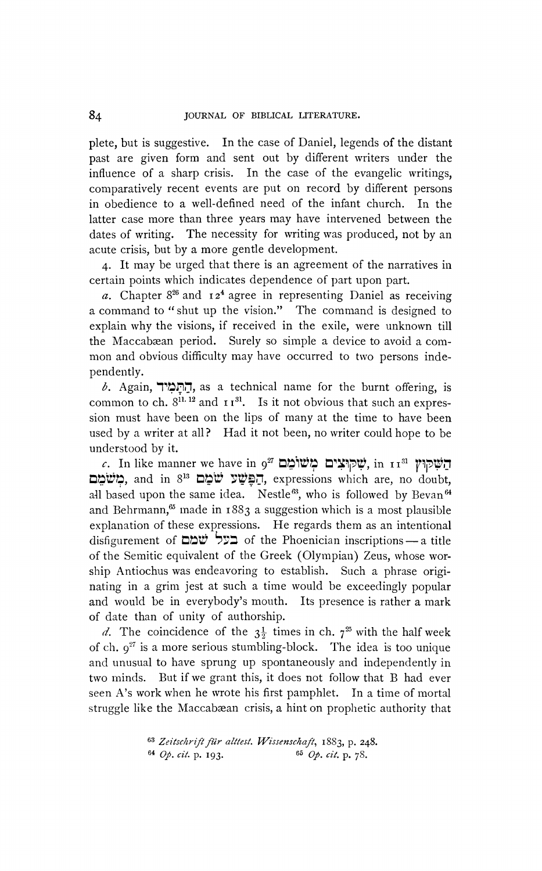**plete, but is suggestive. In the case of Daniel, legends of the distant past are given form and sent out by different writers under the influence of a sharp crisis. In the case of the evangelic writings, comparatively recent events are put on record by different persons in obedience to a well-defined need of the infant church. In the latter case more than three years may have intervened between the dates of writing. The necessity for writing was produced, not by an acute crisis, but by a more gentle development.** 

**4. It may be urged that there is an agreement of the narratives in certain points which indicates dependence of part upon part.** 

**a. Chapter 826 and I24 agree in representing Daniel as receiving a command to " shut up the vision." The command is designed to explain why the visions, if received in the exile, were unknown till**  the Maccabæan period. Surely so simple a device to avoid a com**mon and obvious difficulty may have occurred to two persons independently.** 

**b. Again, '1t 1, as a technical name for the burnt offering, is**  common to ch.  $8^{11.12}$  and  $\mathbf{I} \mathbf{I}^{31}$ . Is it not obvious that such an expres**sion must have been on the lips of many at the time to have been used by a writer at all? Had it not been, no writer could hope to be understood by it.** 

 $\epsilon$ . In like manner we have in  $9^{27}$  הַשְּׁקוּץ in II<sup>31</sup>, **in II =Ztl, and in 81'3 .tl :tV'T,, expressions which are, no doubt,**  all based upon the same idea. Nestle<sup>63</sup>, who is followed by Bevan<sup>64</sup> and Behrmann,<sup>65</sup> made in 1883 a suggestion which is a most plausible **explanation of these expressions. He regards them as an intentional disfigurement of =:t ~:3 of the Phoenician inscriptions-a title of the Semitic equivalent of the Greek (Olympian) Zeus, whose worship Antiochus was endeavoring to establish. Such a phrase originating in a grim jest at such a time would be exceedingly popular and would be in everybody's mouth. Its presence is rather a mark of date than of unity of authorship.** 

*d*. The coincidence of the  $3\frac{1}{2}$  times in ch.  $7^{25}$  with the half week **of ch. 927 is a more serious stumbling-block. The idea is too unique and unusual to have sprung up spontaneously and independently in two minds. But if we grant this, it does not follow that B had ever seen A's work when he wrote his first pamphlet. In a time of mortal**  struggle like the Maccabæan crisis, a hint on prophetic authority that

> **<sup>63</sup>Zeitschriftfiir alttest. Wissenschaft, I883, P. 248. 64 Op. cit. p. I93. 65 Op. cit. p. 78.**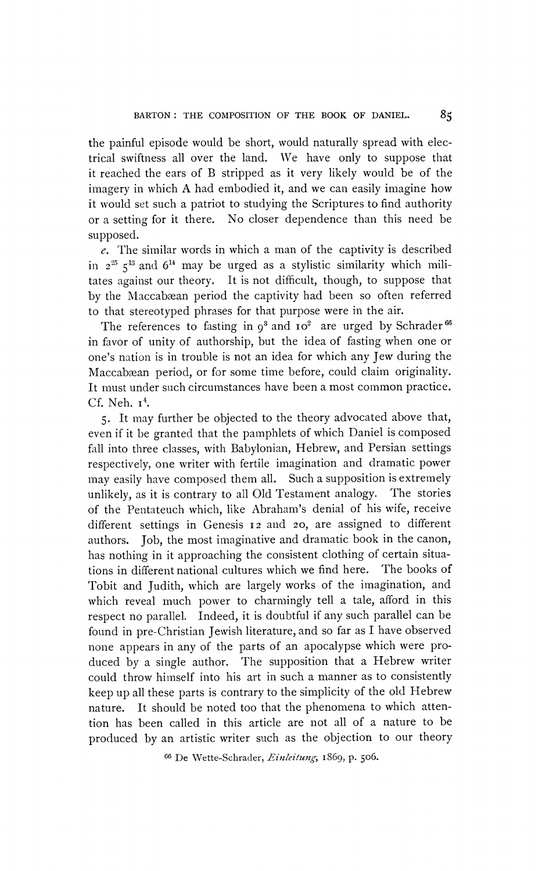**the painful episode would be short, would naturally spread with electrical swiftness all over the land. We have only to suppose that it reached the ears of B stripped as it very likely would be of the imagery in which A had embodied it, and we can easily imagine how it would set such a patriot to studying the Scriptures to find authority or a setting for it there. No closer dependence than this need be supposed.** 

**e. The similar words in which a man of the captivity is described**  in  $2^{25}$   $5^{13}$  and  $6^{14}$  may be urged as a stylistic similarity which mili**tates against our theory. It is not difficult, though, to suppose that by the Maccabean period the captivity had been so often referred to that stereotyped phrases for that purpose were in the air.** 

The references to fasting in 9<sup>3</sup> and 10<sup>2</sup> are urged by Schrader<sup>66</sup> **in favor of unity of authorship, but the idea of fasting when one or one's nation is in trouble is not an idea for which any Jew during the Maccabaean period, or for some time before, could claim originality. It must under such circumstances have been a most common practice. Cf. Neh. I4.** 

**5. It may further be objected to the theory advocated above that, even if it be granted that the pamphlets of which Daniel is composed fall into three classes, with Babylonian, Hebrew, and Persian settings respectively, one writer with fertile imagination and dramatic power may easily have composed them all. Such a supposition is extremely**  unlikely, as it is contrary to all Old Testament analogy. **of the Pentateuch which, like Abraham's denial of his wife, receive different settings in Genesis i2 and 20, are assigned to different authors. Job, the most imaginative and dramatic book in the canon, has nothing in it approaching the consistent clothing of certain situations in different national cultures which we find here. The books of Tobit and Judith, which are largely works of the imagination, and which reveal much power to charmingly tell a tale, afford in this respect no parallel. Indeed, it is doubtful if any such parallel can be found in pre-Christian Jewish literature, and so far as I have observed none appears in any of the parts of an apocalypse which were produced by a single author. The supposition that a Hebrew writer could throw himself into his art in such a manner as to consistently keep up all these parts is contrary to the simplicity of the old Hebrew nature. It should be noted too that the phenomena to which attention has been called in this article are not all of a nature to be produced by an artistic writer such as the objection to our theory** 

**<sup>66</sup>De Wette-Schrader, Einleitung, I869, p. 506.**